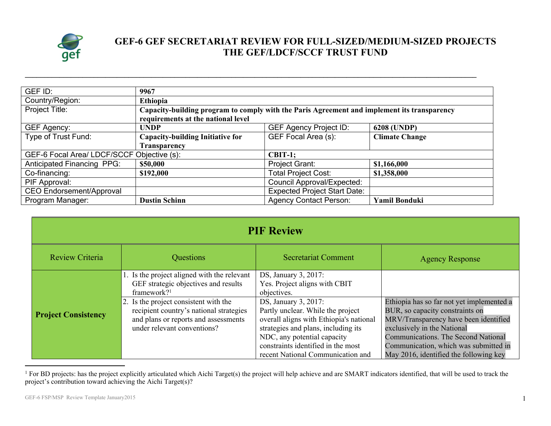

## **GEF-6 GEF SECRETARIAT REVIEW FOR FULL-SIZED/MEDIUM-SIZED PROJECTS THE GEF/LDCF/SCCF TRUST FUND**

| GEF ID:                                    | 9967                                                                                                                              |                                     |                       |  |
|--------------------------------------------|-----------------------------------------------------------------------------------------------------------------------------------|-------------------------------------|-----------------------|--|
| Country/Region:                            | Ethiopia                                                                                                                          |                                     |                       |  |
| Project Title:                             | Capacity-building program to comply with the Paris Agreement and implement its transparency<br>requirements at the national level |                                     |                       |  |
| GEF Agency:                                | <b>UNDP</b>                                                                                                                       | <b>GEF Agency Project ID:</b>       | <b>6208 (UNDP)</b>    |  |
| Type of Trust Fund:                        | <b>Capacity-building Initiative for</b>                                                                                           | GEF Focal Area (s):                 | <b>Climate Change</b> |  |
|                                            | Transparency                                                                                                                      |                                     |                       |  |
| GEF-6 Focal Area/ LDCF/SCCF Objective (s): |                                                                                                                                   | $CBIT-1;$                           |                       |  |
| Anticipated Financing PPG:                 | \$50,000                                                                                                                          | Project Grant:                      | \$1,166,000           |  |
| Co-financing:                              | \$192,000                                                                                                                         | <b>Total Project Cost:</b>          | \$1,358,000           |  |
| PIF Approval:                              |                                                                                                                                   | <b>Council Approval/Expected:</b>   |                       |  |
| <b>CEO Endorsement/Approval</b>            |                                                                                                                                   | <b>Expected Project Start Date:</b> |                       |  |
| Program Manager:                           | <b>Dustin Schinn</b>                                                                                                              | <b>Agency Contact Person:</b>       | <b>Yamil Bonduki</b>  |  |

**\_\_\_\_\_\_\_\_\_\_\_\_\_\_\_\_\_\_\_\_\_\_\_\_\_\_\_\_\_\_\_\_\_\_\_\_\_\_\_\_\_\_\_\_\_\_\_\_\_\_\_\_\_\_\_\_\_\_\_\_\_\_\_\_\_\_\_\_\_\_\_\_\_\_\_\_\_\_\_\_\_\_\_\_\_\_\_\_\_\_\_\_\_\_\_\_\_\_\_\_\_\_\_\_\_\_\_\_\_\_\_\_\_\_\_\_\_\_**

| <b>PIF Review</b>          |                                                                                                                                                                                                                                                                           |                                                                                                                                                                                                                                                                                                                               |                                                                                                                                                                                                                                                                                |
|----------------------------|---------------------------------------------------------------------------------------------------------------------------------------------------------------------------------------------------------------------------------------------------------------------------|-------------------------------------------------------------------------------------------------------------------------------------------------------------------------------------------------------------------------------------------------------------------------------------------------------------------------------|--------------------------------------------------------------------------------------------------------------------------------------------------------------------------------------------------------------------------------------------------------------------------------|
| Review Criteria            | Questions                                                                                                                                                                                                                                                                 | <b>Secretariat Comment</b>                                                                                                                                                                                                                                                                                                    | <b>Agency Response</b>                                                                                                                                                                                                                                                         |
| <b>Project Consistency</b> | 1. Is the project aligned with the relevant<br>GEF strategic objectives and results<br>framework? <sup>1</sup><br>2. Is the project consistent with the<br>recipient country's national strategies<br>and plans or reports and assessments<br>under relevant conventions? | DS, January 3, 2017:<br>Yes. Project aligns with CBIT<br>objectives.<br>DS, January 3, 2017:<br>Partly unclear. While the project<br>overall aligns with Ethiopia's national<br>strategies and plans, including its<br>NDC, any potential capacity<br>constraints identified in the most<br>recent National Communication and | Ethiopia has so far not yet implemented a<br>BUR, so capacity constraints on<br>MRV/Transparency have been identified<br>exclusively in the National<br>Communications. The Second National<br>Communication, which was submitted in<br>May 2016, identified the following key |

<sup>&</sup>lt;sup>1</sup> For BD projects: has the project explicitly articulated which Aichi Target(s) the project will help achieve and are SMART indicators identified, that will be used to track the project's contribution toward achieving the Aichi Target(s)?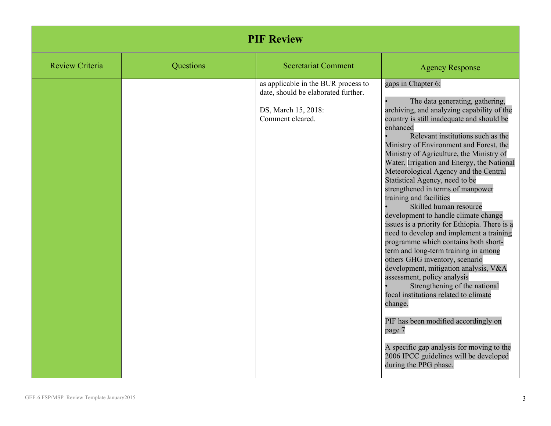| <b>PIF Review</b>      |           |                                                                                                                       |                                                                                                                                                                                                                                                                                                                                                                                                                                                                                                                                                                                                                                                                                                                                                                                                                                                                                                                                                                                                                                                                                                   |
|------------------------|-----------|-----------------------------------------------------------------------------------------------------------------------|---------------------------------------------------------------------------------------------------------------------------------------------------------------------------------------------------------------------------------------------------------------------------------------------------------------------------------------------------------------------------------------------------------------------------------------------------------------------------------------------------------------------------------------------------------------------------------------------------------------------------------------------------------------------------------------------------------------------------------------------------------------------------------------------------------------------------------------------------------------------------------------------------------------------------------------------------------------------------------------------------------------------------------------------------------------------------------------------------|
| <b>Review Criteria</b> | Questions | <b>Secretariat Comment</b>                                                                                            | <b>Agency Response</b>                                                                                                                                                                                                                                                                                                                                                                                                                                                                                                                                                                                                                                                                                                                                                                                                                                                                                                                                                                                                                                                                            |
|                        |           | as applicable in the BUR process to<br>date, should be elaborated further.<br>DS, March 15, 2018:<br>Comment cleared. | gaps in Chapter 6:<br>The data generating, gathering,<br>archiving, and analyzing capability of the<br>country is still inadequate and should be<br>enhanced<br>Relevant institutions such as the<br>Ministry of Environment and Forest, the<br>Ministry of Agriculture, the Ministry of<br>Water, Irrigation and Energy, the National<br>Meteorological Agency and the Central<br>Statistical Agency, need to be<br>strengthened in terms of manpower<br>training and facilities<br>Skilled human resource<br>development to handle climate change<br>issues is a priority for Ethiopia. There is a<br>need to develop and implement a training<br>programme which contains both short-<br>term and long-term training in among<br>others GHG inventory, scenario<br>development, mitigation analysis, V&A<br>assessment, policy analysis<br>Strengthening of the national<br>focal institutions related to climate<br>change.<br>PIF has been modified accordingly on<br>page 7<br>A specific gap analysis for moving to the<br>2006 IPCC guidelines will be developed<br>during the PPG phase. |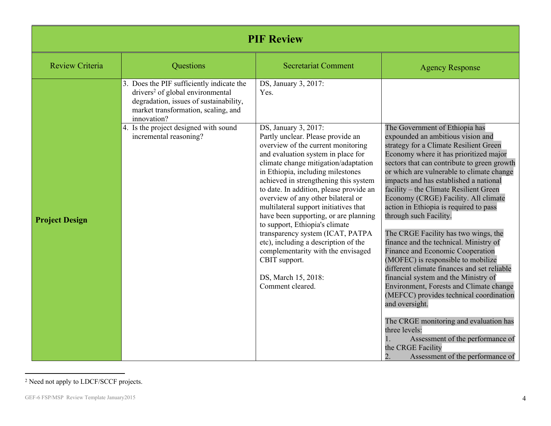| <b>PIF Review</b>      |                                                                                                                                                                                           |                                                                                                                                                                                                                                                                                                                                                                                                                                                                                                                                                                                                                                                |                                                                                                                                                                                                                                                                                                                                                                                                                                                                                                                                                                                                                                                                                                                                                                                                                                                                                                                                                                              |  |
|------------------------|-------------------------------------------------------------------------------------------------------------------------------------------------------------------------------------------|------------------------------------------------------------------------------------------------------------------------------------------------------------------------------------------------------------------------------------------------------------------------------------------------------------------------------------------------------------------------------------------------------------------------------------------------------------------------------------------------------------------------------------------------------------------------------------------------------------------------------------------------|------------------------------------------------------------------------------------------------------------------------------------------------------------------------------------------------------------------------------------------------------------------------------------------------------------------------------------------------------------------------------------------------------------------------------------------------------------------------------------------------------------------------------------------------------------------------------------------------------------------------------------------------------------------------------------------------------------------------------------------------------------------------------------------------------------------------------------------------------------------------------------------------------------------------------------------------------------------------------|--|
| <b>Review Criteria</b> | Questions                                                                                                                                                                                 | <b>Secretariat Comment</b>                                                                                                                                                                                                                                                                                                                                                                                                                                                                                                                                                                                                                     | <b>Agency Response</b>                                                                                                                                                                                                                                                                                                                                                                                                                                                                                                                                                                                                                                                                                                                                                                                                                                                                                                                                                       |  |
|                        | 3. Does the PIF sufficiently indicate the<br>drivers <sup>2</sup> of global environmental<br>degradation, issues of sustainability,<br>market transformation, scaling, and<br>innovation? | DS, January 3, 2017:<br>Yes.                                                                                                                                                                                                                                                                                                                                                                                                                                                                                                                                                                                                                   |                                                                                                                                                                                                                                                                                                                                                                                                                                                                                                                                                                                                                                                                                                                                                                                                                                                                                                                                                                              |  |
| <b>Project Design</b>  | 4. Is the project designed with sound<br>incremental reasoning?                                                                                                                           | DS, January 3, 2017:<br>Partly unclear. Please provide an<br>overview of the current monitoring<br>and evaluation system in place for<br>climate change mitigation/adaptation<br>in Ethiopia, including milestones<br>achieved in strengthening this system<br>to date. In addition, please provide an<br>overview of any other bilateral or<br>multilateral support initiatives that<br>have been supporting, or are planning<br>to support, Ethiopia's climate<br>transparency system (ICAT, PATPA<br>etc), including a description of the<br>complementarity with the envisaged<br>CBIT support.<br>DS, March 15, 2018:<br>Comment cleared. | The Government of Ethiopia has<br>expounded an ambitious vision and<br>strategy for a Climate Resilient Green<br>Economy where it has prioritized major<br>sectors that can contribute to green growth<br>or which are vulnerable to climate change<br>impacts and has established a national<br>facility – the Climate Resilient Green<br>Economy (CRGE) Facility. All climate<br>action in Ethiopia is required to pass<br>through such Facility.<br>The CRGE Facility has two wings, the<br>finance and the technical. Ministry of<br>Finance and Economic Cooperation<br>(MOFEC) is responsible to mobilize<br>different climate finances and set reliable<br>financial system and the Ministry of<br>Environment, Forests and Climate change<br>(MEFCC) provides technical coordination<br>and oversight.<br>The CRGE monitoring and evaluation has<br>three levels:<br>Assessment of the performance of<br>the CRGE Facility<br>Assessment of the performance of<br>2. |  |

<sup>2</sup> Need not apply to LDCF/SCCF projects.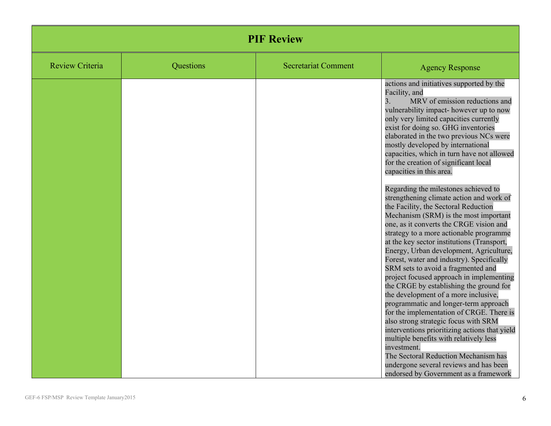| <b>PIF Review</b>      |           |                            |                                                                                                                                                                                                                                                                                                                                                                                                                                                                                                                                                                                                                                                                                                                                                                                                                                                                                                                                                                                                                                                                                                                                                                                                                                                                                                                                 |
|------------------------|-----------|----------------------------|---------------------------------------------------------------------------------------------------------------------------------------------------------------------------------------------------------------------------------------------------------------------------------------------------------------------------------------------------------------------------------------------------------------------------------------------------------------------------------------------------------------------------------------------------------------------------------------------------------------------------------------------------------------------------------------------------------------------------------------------------------------------------------------------------------------------------------------------------------------------------------------------------------------------------------------------------------------------------------------------------------------------------------------------------------------------------------------------------------------------------------------------------------------------------------------------------------------------------------------------------------------------------------------------------------------------------------|
| <b>Review Criteria</b> | Questions | <b>Secretariat Comment</b> | <b>Agency Response</b>                                                                                                                                                                                                                                                                                                                                                                                                                                                                                                                                                                                                                                                                                                                                                                                                                                                                                                                                                                                                                                                                                                                                                                                                                                                                                                          |
|                        |           |                            | actions and initiatives supported by the<br>Facility, and<br>MRV of emission reductions and<br>3.<br>vulnerability impact- however up to now<br>only very limited capacities currently<br>exist for doing so. GHG inventories<br>elaborated in the two previous NCs were<br>mostly developed by international<br>capacities, which in turn have not allowed<br>for the creation of significant local<br>capacities in this area.<br>Regarding the milestones achieved to<br>strengthening climate action and work of<br>the Facility, the Sectoral Reduction<br>Mechanism (SRM) is the most important<br>one, as it converts the CRGE vision and<br>strategy to a more actionable programme<br>at the key sector institutions (Transport,<br>Energy, Urban development, Agriculture,<br>Forest, water and industry). Specifically<br>SRM sets to avoid a fragmented and<br>project focused approach in implementing<br>the CRGE by establishing the ground for<br>the development of a more inclusive,<br>programmatic and longer-term approach<br>for the implementation of CRGE. There is<br>also strong strategic focus with SRM<br>interventions prioritizing actions that yield<br>multiple benefits with relatively less<br>investment.<br>The Sectoral Reduction Mechanism has<br>undergone several reviews and has been |
|                        |           |                            | endorsed by Government as a framework                                                                                                                                                                                                                                                                                                                                                                                                                                                                                                                                                                                                                                                                                                                                                                                                                                                                                                                                                                                                                                                                                                                                                                                                                                                                                           |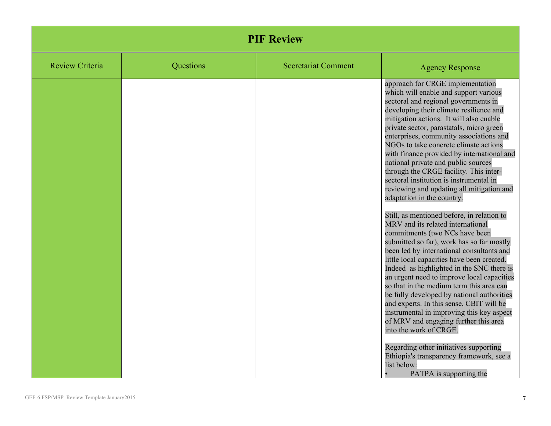| <b>PIF Review</b>      |           |                            |                                                                                                                                                                                                                                                                                                                                                                                                                                                                                                                                                                                                                                                                                                                                                                                                                                                                                                                                                                                                                                                                                                                                                                                                                                                                                                                                            |
|------------------------|-----------|----------------------------|--------------------------------------------------------------------------------------------------------------------------------------------------------------------------------------------------------------------------------------------------------------------------------------------------------------------------------------------------------------------------------------------------------------------------------------------------------------------------------------------------------------------------------------------------------------------------------------------------------------------------------------------------------------------------------------------------------------------------------------------------------------------------------------------------------------------------------------------------------------------------------------------------------------------------------------------------------------------------------------------------------------------------------------------------------------------------------------------------------------------------------------------------------------------------------------------------------------------------------------------------------------------------------------------------------------------------------------------|
| <b>Review Criteria</b> | Questions | <b>Secretariat Comment</b> | <b>Agency Response</b>                                                                                                                                                                                                                                                                                                                                                                                                                                                                                                                                                                                                                                                                                                                                                                                                                                                                                                                                                                                                                                                                                                                                                                                                                                                                                                                     |
|                        |           |                            | approach for CRGE implementation<br>which will enable and support various<br>sectoral and regional governments in<br>developing their climate resilience and<br>mitigation actions. It will also enable<br>private sector, parastatals, micro green<br>enterprises, community associations and<br>NGOs to take concrete climate actions<br>with finance provided by international and<br>national private and public sources<br>through the CRGE facility. This inter-<br>sectoral institution is instrumental in<br>reviewing and updating all mitigation and<br>adaptation in the country.<br>Still, as mentioned before, in relation to<br>MRV and its related international<br>commitments (two NCs have been<br>submitted so far), work has so far mostly<br>been led by international consultants and<br>little local capacities have been created.<br>Indeed as highlighted in the SNC there is<br>an urgent need to improve local capacities<br>so that in the medium term this area can<br>be fully developed by national authorities<br>and experts. In this sense, CBIT will be<br>instrumental in improving this key aspect<br>of MRV and engaging further this area<br>into the work of CRGE.<br>Regarding other initiatives supporting<br>Ethiopia's transparency framework, see a<br>list below:<br>PATPA is supporting the |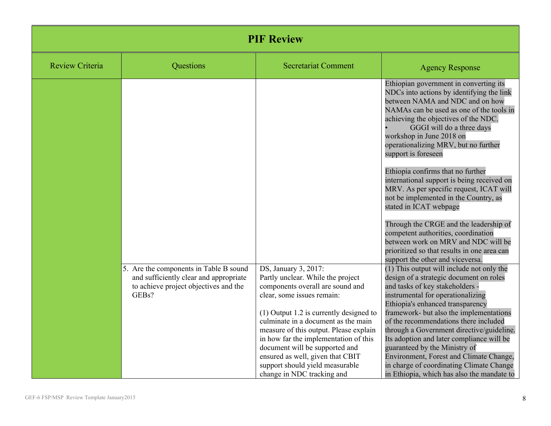| <b>PIF Review</b>      |                                                                                                                                    |                                                                                                                                                                                                                                                                                                                                                                                                                                           |                                                                                                                                                                                                                                                                                                                                                                                                                                                                                                                                                                                                                                                                                                                                                |
|------------------------|------------------------------------------------------------------------------------------------------------------------------------|-------------------------------------------------------------------------------------------------------------------------------------------------------------------------------------------------------------------------------------------------------------------------------------------------------------------------------------------------------------------------------------------------------------------------------------------|------------------------------------------------------------------------------------------------------------------------------------------------------------------------------------------------------------------------------------------------------------------------------------------------------------------------------------------------------------------------------------------------------------------------------------------------------------------------------------------------------------------------------------------------------------------------------------------------------------------------------------------------------------------------------------------------------------------------------------------------|
| <b>Review Criteria</b> | Questions                                                                                                                          | <b>Secretariat Comment</b>                                                                                                                                                                                                                                                                                                                                                                                                                | <b>Agency Response</b>                                                                                                                                                                                                                                                                                                                                                                                                                                                                                                                                                                                                                                                                                                                         |
|                        |                                                                                                                                    |                                                                                                                                                                                                                                                                                                                                                                                                                                           | Ethiopian government in converting its<br>NDCs into actions by identifying the link<br>between NAMA and NDC and on how<br>NAMAs can be used as one of the tools in<br>achieving the objectives of the NDC.<br>GGGI will do a three days<br>workshop in June 2018 on<br>operationalizing MRV, but no further<br>support is foreseen<br>Ethiopia confirms that no further<br>international support is being received on<br>MRV. As per specific request, ICAT will<br>not be implemented in the Country, as<br>stated in ICAT webpage<br>Through the CRGE and the leadership of<br>competent authorities, coordination<br>between work on MRV and NDC will be<br>prioritized so that results in one area can<br>support the other and viceversa. |
|                        | 5. Are the components in Table B sound<br>and sufficiently clear and appropriate<br>to achieve project objectives and the<br>GEBs? | DS, January 3, 2017:<br>Partly unclear. While the project<br>components overall are sound and<br>clear, some issues remain:<br>$(1)$ Output 1.2 is currently designed to<br>culminate in a document as the main<br>measure of this output. Please explain<br>in how far the implementation of this<br>document will be supported and<br>ensured as well, given that CBIT<br>support should yield measurable<br>change in NDC tracking and | (1) This output will include not only the<br>design of a strategic document on roles<br>and tasks of key stakeholders -<br>instrumental for operationalizing<br>Ethiopia's enhanced transparency<br>framework- but also the implementations<br>of the recommendations there included<br>through a Government directive/guideline.<br>Its adoption and later compliance will be<br>guaranteed by the Ministry of<br>Environment, Forest and Climate Change,<br>in charge of coordinating Climate Change<br>in Ethiopia, which has also the mandate to                                                                                                                                                                                           |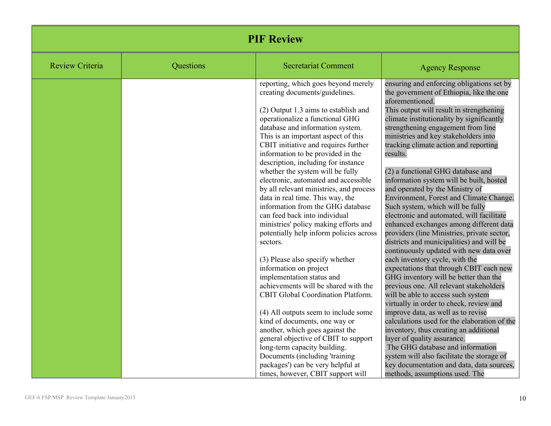|                        | <b>PIF Review</b> |                                                                             |                                                                                       |  |
|------------------------|-------------------|-----------------------------------------------------------------------------|---------------------------------------------------------------------------------------|--|
| <b>Review Criteria</b> | Questions         | <b>Secretariat Comment</b>                                                  | <b>Agency Response</b>                                                                |  |
|                        |                   | reporting, which goes beyond merely<br>creating documents/guidelines.       | ensuring and enforcing obligations set by<br>the government of Ethiopia, like the one |  |
|                        |                   |                                                                             | aforementioned.                                                                       |  |
|                        |                   | (2) Output 1.3 aims to establish and                                        | This output will result in strengthening                                              |  |
|                        |                   | operationalize a functional GHG                                             | climate institutionality by significantly                                             |  |
|                        |                   | database and information system.                                            | strengthening engagement from line                                                    |  |
|                        |                   | This is an important aspect of this<br>CBIT initiative and requires further | ministries and key stakeholders into<br>tracking climate action and reporting         |  |
|                        |                   | information to be provided in the                                           | results.                                                                              |  |
|                        |                   | description, including for instance                                         |                                                                                       |  |
|                        |                   | whether the system will be fully                                            | (2) a functional GHG database and                                                     |  |
|                        |                   | electronic, automated and accessible                                        | information system will be built, hosted                                              |  |
|                        |                   | by all relevant ministries, and process                                     | and operated by the Ministry of                                                       |  |
|                        |                   | data in real time. This way, the                                            | Environment, Forest and Climate Change.                                               |  |
|                        |                   | information from the GHG database                                           | Such system, which will be fully                                                      |  |
|                        |                   | can feed back into individual<br>ministries' policy making efforts and      | electronic and automated, will facilitate<br>enhanced exchanges among different data  |  |
|                        |                   | potentially help inform policies across                                     | providers (line Ministries, private sector,                                           |  |
|                        |                   | sectors.                                                                    | districts and municipalities) and will be                                             |  |
|                        |                   |                                                                             | continuously updated with new data over                                               |  |
|                        |                   | (3) Please also specify whether                                             | each inventory cycle, with the                                                        |  |
|                        |                   | information on project                                                      | expectations that through CBIT each new                                               |  |
|                        |                   | implementation status and                                                   | GHG inventory will be better than the                                                 |  |
|                        |                   | achievements will be shared with the                                        | previous one. All relevant stakeholders                                               |  |
|                        |                   | CBIT Global Coordination Platform.                                          | will be able to access such system                                                    |  |
|                        |                   | (4) All outputs seem to include some                                        | virtually in order to check, review and<br>improve data, as well as to revise         |  |
|                        |                   | kind of documents, one way or                                               | calculations used for the elaboration of the                                          |  |
|                        |                   | another, which goes against the                                             | inventory, thus creating an additional                                                |  |
|                        |                   | general objective of CBIT to support                                        | layer of quality assurance.                                                           |  |
|                        |                   | long-term capacity building.                                                | The GHG database and information                                                      |  |
|                        |                   | Documents (including 'training                                              | system will also facilitate the storage of                                            |  |
|                        |                   | packages') can be very helpful at                                           | key documentation and data, data sources,                                             |  |
|                        |                   | times, however, CBIT support will                                           | methods, assumptions used. The                                                        |  |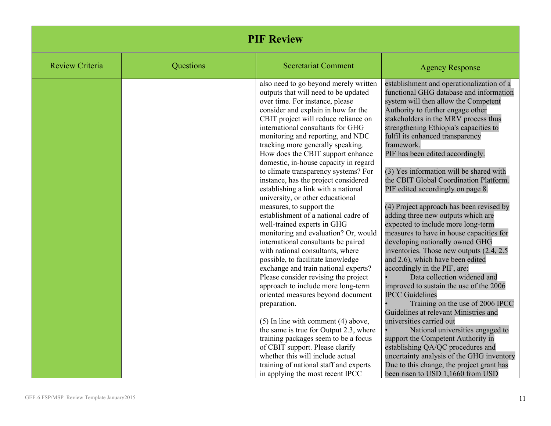|                        |           | <b>PIF Review</b>                                                                                                                                                                                                                                                                                                                                                                                                                                                                                                                                                                                                                                                                                                                                                                                                                                                                                                                                                                                                                                                                                                                                                                                                                                                               |                                                                                                                                                                                                                                                                                                                                                                                                                                                                                                                                                                                                                                                                                                                                                                                                                                                                                                                                                                                                                                                                                                                                                                                                                                                        |
|------------------------|-----------|---------------------------------------------------------------------------------------------------------------------------------------------------------------------------------------------------------------------------------------------------------------------------------------------------------------------------------------------------------------------------------------------------------------------------------------------------------------------------------------------------------------------------------------------------------------------------------------------------------------------------------------------------------------------------------------------------------------------------------------------------------------------------------------------------------------------------------------------------------------------------------------------------------------------------------------------------------------------------------------------------------------------------------------------------------------------------------------------------------------------------------------------------------------------------------------------------------------------------------------------------------------------------------|--------------------------------------------------------------------------------------------------------------------------------------------------------------------------------------------------------------------------------------------------------------------------------------------------------------------------------------------------------------------------------------------------------------------------------------------------------------------------------------------------------------------------------------------------------------------------------------------------------------------------------------------------------------------------------------------------------------------------------------------------------------------------------------------------------------------------------------------------------------------------------------------------------------------------------------------------------------------------------------------------------------------------------------------------------------------------------------------------------------------------------------------------------------------------------------------------------------------------------------------------------|
| <b>Review Criteria</b> | Questions | <b>Secretariat Comment</b>                                                                                                                                                                                                                                                                                                                                                                                                                                                                                                                                                                                                                                                                                                                                                                                                                                                                                                                                                                                                                                                                                                                                                                                                                                                      | <b>Agency Response</b>                                                                                                                                                                                                                                                                                                                                                                                                                                                                                                                                                                                                                                                                                                                                                                                                                                                                                                                                                                                                                                                                                                                                                                                                                                 |
|                        |           | also need to go beyond merely written<br>outputs that will need to be updated<br>over time. For instance, please<br>consider and explain in how far the<br>CBIT project will reduce reliance on<br>international consultants for GHG<br>monitoring and reporting, and NDC<br>tracking more generally speaking.<br>How does the CBIT support enhance<br>domestic, in-house capacity in regard<br>to climate transparency systems? For<br>instance, has the project considered<br>establishing a link with a national<br>university, or other educational<br>measures, to support the<br>establishment of a national cadre of<br>well-trained experts in GHG<br>monitoring and evaluation? Or, would<br>international consultants be paired<br>with national consultants, where<br>possible, to facilitate knowledge<br>exchange and train national experts?<br>Please consider revising the project<br>approach to include more long-term<br>oriented measures beyond document<br>preparation.<br>$(5)$ In line with comment $(4)$ above,<br>the same is true for Output 2.3, where<br>training packages seem to be a focus<br>of CBIT support. Please clarify<br>whether this will include actual<br>training of national staff and experts<br>in applying the most recent IPCC | establishment and operationalization of a<br>functional GHG database and information<br>system will then allow the Competent<br>Authority to further engage other<br>stakeholders in the MRV process thus<br>strengthening Ethiopia's capacities to<br>fulfil its enhanced transparency<br>framework.<br>PIF has been edited accordingly.<br>(3) Yes information will be shared with<br>the CBIT Global Coordination Platform.<br>PIF edited accordingly on page 8.<br>(4) Project approach has been revised by<br>adding three new outputs which are<br>expected to include more long-term<br>measures to have in house capacities for<br>developing nationally owned GHG<br>inventories. Those new outputs (2.4, 2.5)<br>and 2.6), which have been edited<br>accordingly in the PIF, are:<br>Data collection widened and<br>improved to sustain the use of the 2006<br><b>IPCC</b> Guidelines<br>Training on the use of 2006 IPCC<br>Guidelines at relevant Ministries and<br>universities carried out<br>National universities engaged to<br>support the Competent Authority in<br>establishing QA/QC procedures and<br>uncertainty analysis of the GHG inventory<br>Due to this change, the project grant has<br>been risen to USD 1,1660 from USD |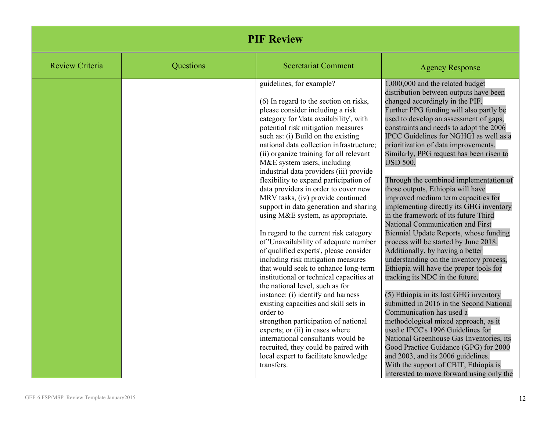| <b>PIF Review</b>      |           |                                                                                                                                                                                                                                                                                                                                                                                                                                                                                                                                                                                                                                                                                                                                                                                                                                                                                                                                                                                                                                                                                                                                                                                                         |                                                                                                                                                                                                                                                                                                                                                                                                                                                                                                                                                                                                                                                                                                                                                                                                                                                                                                                                                                                                                                                                                                                                                                                                                                                                                                             |
|------------------------|-----------|---------------------------------------------------------------------------------------------------------------------------------------------------------------------------------------------------------------------------------------------------------------------------------------------------------------------------------------------------------------------------------------------------------------------------------------------------------------------------------------------------------------------------------------------------------------------------------------------------------------------------------------------------------------------------------------------------------------------------------------------------------------------------------------------------------------------------------------------------------------------------------------------------------------------------------------------------------------------------------------------------------------------------------------------------------------------------------------------------------------------------------------------------------------------------------------------------------|-------------------------------------------------------------------------------------------------------------------------------------------------------------------------------------------------------------------------------------------------------------------------------------------------------------------------------------------------------------------------------------------------------------------------------------------------------------------------------------------------------------------------------------------------------------------------------------------------------------------------------------------------------------------------------------------------------------------------------------------------------------------------------------------------------------------------------------------------------------------------------------------------------------------------------------------------------------------------------------------------------------------------------------------------------------------------------------------------------------------------------------------------------------------------------------------------------------------------------------------------------------------------------------------------------------|
| <b>Review Criteria</b> | Questions | <b>Secretariat Comment</b>                                                                                                                                                                                                                                                                                                                                                                                                                                                                                                                                                                                                                                                                                                                                                                                                                                                                                                                                                                                                                                                                                                                                                                              | <b>Agency Response</b>                                                                                                                                                                                                                                                                                                                                                                                                                                                                                                                                                                                                                                                                                                                                                                                                                                                                                                                                                                                                                                                                                                                                                                                                                                                                                      |
|                        |           | guidelines, for example?<br>(6) In regard to the section on risks,<br>please consider including a risk<br>category for 'data availability', with<br>potential risk mitigation measures<br>such as: (i) Build on the existing<br>national data collection infrastructure;<br>(ii) organize training for all relevant<br>M&E system users, including<br>industrial data providers (iii) provide<br>flexibility to expand participation of<br>data providers in order to cover new<br>MRV tasks, (iv) provide continued<br>support in data generation and sharing<br>using M&E system, as appropriate.<br>In regard to the current risk category<br>of 'Unavailability of adequate number<br>of qualified experts', please consider<br>including risk mitigation measures<br>that would seek to enhance long-term<br>institutional or technical capacities at<br>the national level, such as for<br>instance: (i) identify and harness<br>existing capacities and skill sets in<br>order to<br>strengthen participation of national<br>experts; or (ii) in cases where<br>international consultants would be<br>recruited, they could be paired with<br>local expert to facilitate knowledge<br>transfers. | 1,000,000 and the related budget<br>distribution between outputs have been<br>changed accordingly in the PIF.<br>Further PPG funding will also partly be<br>used to develop an assessment of gaps,<br>constraints and needs to adopt the 2006<br>IPCC Guidelines for NGHGI as well as a<br>prioritization of data improvements.<br>Similarly, PPG request has been risen to<br><b>USD 500.</b><br>Through the combined implementation of<br>those outputs, Ethiopia will have<br>improved medium term capacities for<br>implementing directly its GHG inventory<br>in the framework of its future Third<br>National Communication and First<br>Biennial Update Reports, whose funding<br>process will be started by June 2018.<br>Additionally, by having a better<br>understanding on the inventory process,<br>Ethiopia will have the proper tools for<br>tracking its NDC in the future.<br>(5) Ethiopia in its last GHG inventory<br>submitted in 2016 in the Second National<br>Communication has used a<br>methodological mixed approach, as it<br>used e IPCC's 1996 Guidelines for<br>National Greenhouse Gas Inventories, its<br>Good Practice Guidance (GPG) for 2000<br>and 2003, and its 2006 guidelines.<br>With the support of CBIT, Ethiopia is<br>interested to move forward using only the |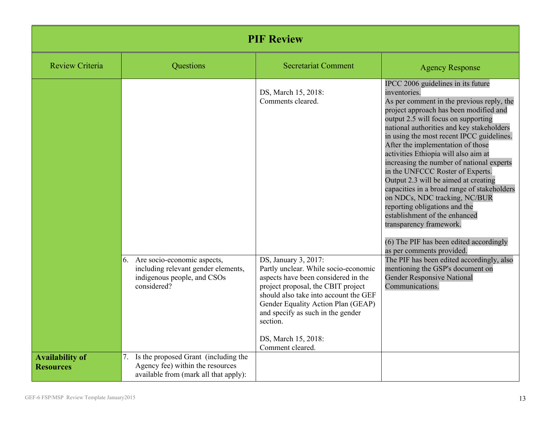|                                            | <b>PIF Review</b>                                                                                                                                                 |                                                                                                                                                                                                                                                                                                                      |                                                                                                                                                                                                                                                                                                                                                                                                                                                                                                                                                                                                                                                                                                                                       |  |
|--------------------------------------------|-------------------------------------------------------------------------------------------------------------------------------------------------------------------|----------------------------------------------------------------------------------------------------------------------------------------------------------------------------------------------------------------------------------------------------------------------------------------------------------------------|---------------------------------------------------------------------------------------------------------------------------------------------------------------------------------------------------------------------------------------------------------------------------------------------------------------------------------------------------------------------------------------------------------------------------------------------------------------------------------------------------------------------------------------------------------------------------------------------------------------------------------------------------------------------------------------------------------------------------------------|--|
| <b>Review Criteria</b>                     | Questions                                                                                                                                                         | <b>Secretariat Comment</b>                                                                                                                                                                                                                                                                                           | <b>Agency Response</b>                                                                                                                                                                                                                                                                                                                                                                                                                                                                                                                                                                                                                                                                                                                |  |
|                                            |                                                                                                                                                                   | DS, March 15, 2018:<br>Comments cleared.                                                                                                                                                                                                                                                                             | IPCC 2006 guidelines in its future<br>inventories.<br>As per comment in the previous reply, the<br>project approach has been modified and<br>output 2.5 will focus on supporting<br>national authorities and key stakeholders<br>in using the most recent IPCC guidelines.<br>After the implementation of those<br>activities Ethiopia will also aim at<br>increasing the number of national experts<br>in the UNFCCC Roster of Experts.<br>Output 2.3 will be aimed at creating<br>capacities in a broad range of stakeholders<br>on NDCs, NDC tracking, NC/BUR<br>reporting obligations and the<br>establishment of the enhanced<br>transparency framework.<br>(6) The PIF has been edited accordingly<br>as per comments provided. |  |
|                                            | 6. Are socio-economic aspects,<br>including relevant gender elements,<br>indigenous people, and CSOs<br>considered?<br>Is the proposed Grant (including the<br>7. | DS, January 3, 2017:<br>Partly unclear. While socio-economic<br>aspects have been considered in the<br>project proposal, the CBIT project<br>should also take into account the GEF<br>Gender Equality Action Plan (GEAP)<br>and specify as such in the gender<br>section.<br>DS, March 15, 2018:<br>Comment cleared. | The PIF has been edited accordingly, also<br>mentioning the GSP's document on<br><b>Gender Responsive National</b><br>Communications.                                                                                                                                                                                                                                                                                                                                                                                                                                                                                                                                                                                                 |  |
| <b>Availability of</b><br><b>Resources</b> | Agency fee) within the resources<br>available from (mark all that apply):                                                                                         |                                                                                                                                                                                                                                                                                                                      |                                                                                                                                                                                                                                                                                                                                                                                                                                                                                                                                                                                                                                                                                                                                       |  |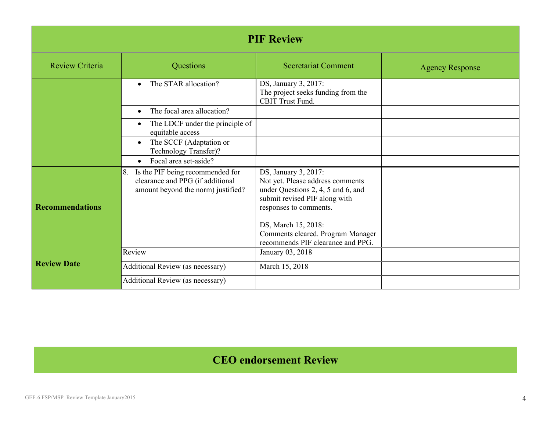| <b>PIF Review</b>      |                                                                                                                  |                                                                                                                                                           |                        |  |
|------------------------|------------------------------------------------------------------------------------------------------------------|-----------------------------------------------------------------------------------------------------------------------------------------------------------|------------------------|--|
| Review Criteria        | Questions                                                                                                        | <b>Secretariat Comment</b>                                                                                                                                | <b>Agency Response</b> |  |
|                        | The STAR allocation?<br>$\bullet$                                                                                | DS, January 3, 2017:<br>The project seeks funding from the<br><b>CBIT Trust Fund.</b>                                                                     |                        |  |
|                        | The focal area allocation?<br>$\bullet$                                                                          |                                                                                                                                                           |                        |  |
|                        | The LDCF under the principle of<br>$\bullet$<br>equitable access                                                 |                                                                                                                                                           |                        |  |
|                        | The SCCF (Adaptation or<br>$\bullet$<br>Technology Transfer)?                                                    |                                                                                                                                                           |                        |  |
|                        | Focal area set-aside?<br>$\bullet$                                                                               |                                                                                                                                                           |                        |  |
| <b>Recommendations</b> | Is the PIF being recommended for<br>8.<br>clearance and PPG (if additional<br>amount beyond the norm) justified? | DS, January 3, 2017:<br>Not yet. Please address comments<br>under Questions 2, 4, 5 and 6, and<br>submit revised PIF along with<br>responses to comments. |                        |  |
|                        |                                                                                                                  | DS, March 15, 2018:<br>Comments cleared. Program Manager<br>recommends PIF clearance and PPG.                                                             |                        |  |
|                        | Review                                                                                                           | January 03, 2018                                                                                                                                          |                        |  |
| <b>Review Date</b>     | Additional Review (as necessary)                                                                                 | March 15, 2018                                                                                                                                            |                        |  |
|                        | Additional Review (as necessary)                                                                                 |                                                                                                                                                           |                        |  |

## **CEO endorsement Review**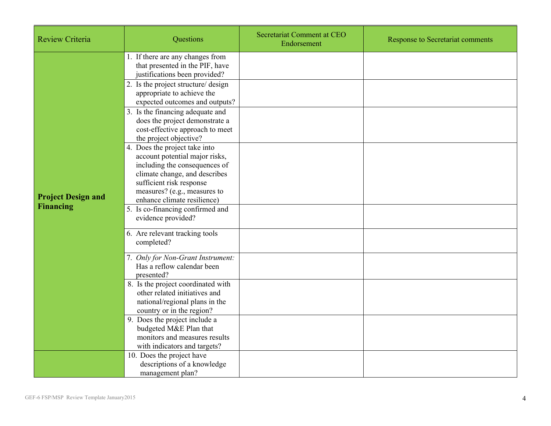| <b>Review Criteria</b>                        | Questions                                                                                                                                                                                                                    | Secretariat Comment at CEO<br>Endorsement | <b>Response to Secretariat comments</b> |
|-----------------------------------------------|------------------------------------------------------------------------------------------------------------------------------------------------------------------------------------------------------------------------------|-------------------------------------------|-----------------------------------------|
| <b>Project Design and</b><br><b>Financing</b> | 1. If there are any changes from<br>that presented in the PIF, have<br>justifications been provided?                                                                                                                         |                                           |                                         |
|                                               | 2. Is the project structure/ design<br>appropriate to achieve the<br>expected outcomes and outputs?                                                                                                                          |                                           |                                         |
|                                               | 3. Is the financing adequate and<br>does the project demonstrate a<br>cost-effective approach to meet<br>the project objective?                                                                                              |                                           |                                         |
|                                               | 4. Does the project take into<br>account potential major risks,<br>including the consequences of<br>climate change, and describes<br>sufficient risk response<br>measures? (e.g., measures to<br>enhance climate resilience) |                                           |                                         |
|                                               | 5. Is co-financing confirmed and<br>evidence provided?                                                                                                                                                                       |                                           |                                         |
|                                               | 6. Are relevant tracking tools<br>completed?                                                                                                                                                                                 |                                           |                                         |
|                                               | 7. Only for Non-Grant Instrument:<br>Has a reflow calendar been<br>presented?                                                                                                                                                |                                           |                                         |
|                                               | 8. Is the project coordinated with<br>other related initiatives and<br>national/regional plans in the<br>country or in the region?                                                                                           |                                           |                                         |
|                                               | 9. Does the project include a<br>budgeted M&E Plan that<br>monitors and measures results<br>with indicators and targets?                                                                                                     |                                           |                                         |
|                                               | 10. Does the project have<br>descriptions of a knowledge<br>management plan?                                                                                                                                                 |                                           |                                         |